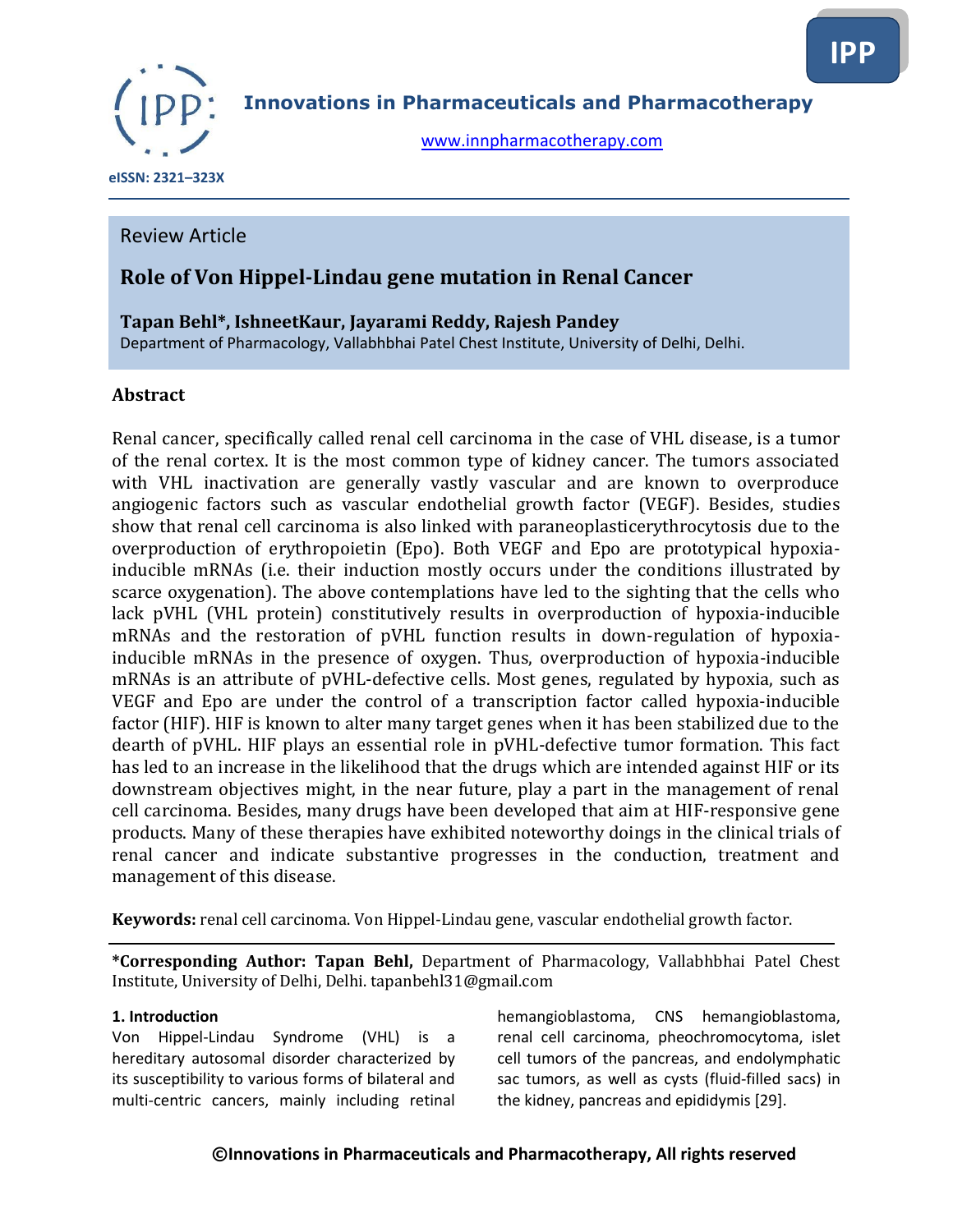

**Innovations in Pharmaceuticals and Pharmacotherapy**

[www.innpharmacotherapy.com](http://www.innpharmacotherapy.com/)

 **eISSN: 2321–323X**

### Review Article

## **Role of Von Hippel-Lindau gene mutation in Renal Cancer**

### **Tapan Behl\*, IshneetKaur, Jayarami Reddy, Rajesh Pandey**

Department of Pharmacology, Vallabhbhai Patel Chest Institute, University of Delhi, Delhi.

#### **Abstract**

Renal cancer, specifically called renal cell carcinoma in the case of VHL disease, is a tumor of the renal cortex. It is the most common type of kidney cancer. The tumors associated with VHL inactivation are generally vastly vascular and are known to overproduce angiogenic factors such as vascular endothelial growth factor (VEGF). Besides, studies show that renal cell carcinoma is also linked with paraneoplasticerythrocytosis due to the overproduction of erythropoietin (Epo). Both VEGF and Epo are prototypical hypoxiainducible mRNAs (i.e. their induction mostly occurs under the conditions illustrated by scarce oxygenation). The above contemplations have led to the sighting that the cells who lack pVHL (VHL protein) constitutively results in overproduction of hypoxia-inducible mRNAs and the restoration of pVHL function results in down-regulation of hypoxiainducible mRNAs in the presence of oxygen. Thus, overproduction of hypoxia-inducible mRNAs is an attribute of pVHL-defective cells. Most genes, regulated by hypoxia, such as VEGF and Epo are under the control of a transcription factor called hypoxia-inducible factor (HIF). HIF is known to alter many target genes when it has been stabilized due to the dearth of pVHL. HIF plays an essential role in pVHL-defective tumor formation. This fact has led to an increase in the likelihood that the drugs which are intended against HIF or its downstream objectives might, in the near future, play a part in the management of renal cell carcinoma. Besides, many drugs have been developed that aim at HIF-responsive gene products. Many of these therapies have exhibited noteworthy doings in the clinical trials of renal cancer and indicate substantive progresses in the conduction, treatment and management of this disease.

**Keywords:** renal cell carcinoma. Von Hippel-Lindau gene, vascular endothelial growth factor.

**\*Corresponding Author: Tapan Behl,** Department of Pharmacology, Vallabhbhai Patel Chest Institute, University of Delhi, Delhi. tapanbehl31@gmail.com

#### **1. Introduction**

Von Hippel-Lindau Syndrome (VHL) is a hereditary autosomal disorder characterized by its susceptibility to various forms of bilateral and multi-centric cancers, mainly including retinal

hemangioblastoma, CNS hemangioblastoma, renal cell carcinoma, pheochromocytoma, islet cell tumors of the pancreas, and endolymphatic sac tumors, as well as cysts (fluid-filled sacs) in the kidney, pancreas and epididymis [29].

#### **©Innovations in Pharmaceuticals and Pharmacotherapy, All rights reserved**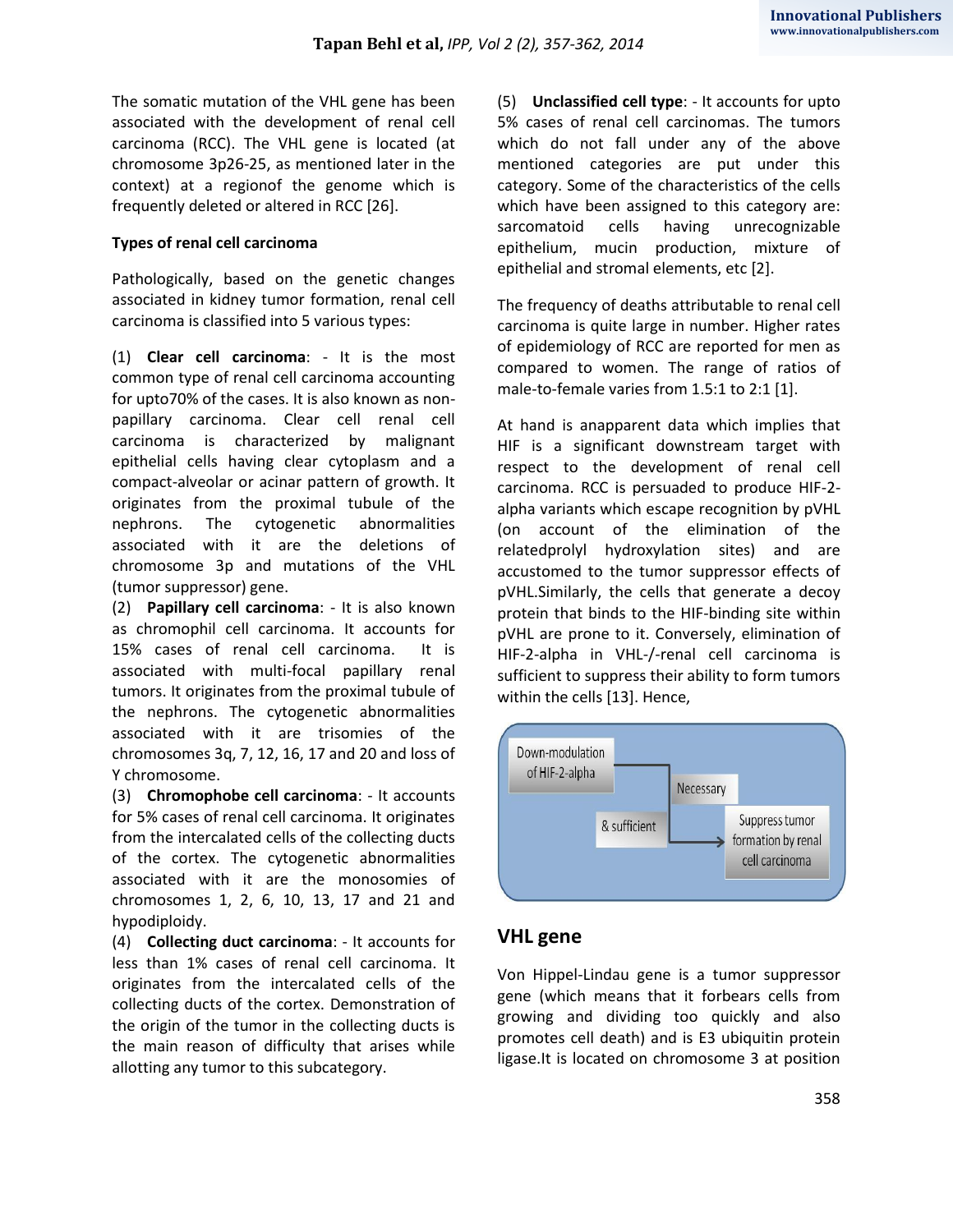The somatic mutation of the VHL gene has been associated with the development of renal cell carcinoma (RCC). The VHL gene is located (at chromosome 3p26-25, as mentioned later in the context) at a regionof the genome which is frequently deleted or altered in RCC [26].

#### **Types of renal cell carcinoma**

Pathologically, based on the genetic changes associated in kidney tumor formation, renal cell carcinoma is classified into 5 various types:

(1) **Clear cell carcinoma**: - It is the most common type of renal cell carcinoma accounting for upto70% of the cases. It is also known as nonpapillary carcinoma. Clear cell renal cell carcinoma is characterized by malignant epithelial cells having clear cytoplasm and a compact-alveolar or acinar pattern of growth. It originates from the proximal tubule of the nephrons. The cytogenetic abnormalities associated with it are the deletions of chromosome 3p and mutations of the VHL (tumor suppressor) gene.

(2) **Papillary cell carcinoma**: - It is also known as chromophil cell carcinoma. It accounts for 15% cases of renal cell carcinoma. It is associated with multi-focal papillary renal tumors. It originates from the proximal tubule of the nephrons. The cytogenetic abnormalities associated with it are trisomies of the chromosomes 3q, 7, 12, 16, 17 and 20 and loss of Y chromosome.

(3) **Chromophobe cell carcinoma**: - It accounts for 5% cases of renal cell carcinoma. It originates from the intercalated cells of the collecting ducts of the cortex. The cytogenetic abnormalities associated with it are the monosomies of chromosomes 1, 2, 6, 10, 13, 17 and 21 and hypodiploidy.

(4) **Collecting duct carcinoma**: - It accounts for less than 1% cases of renal cell carcinoma. It originates from the intercalated cells of the collecting ducts of the cortex. Demonstration of the origin of the tumor in the collecting ducts is the main reason of difficulty that arises while allotting any tumor to this subcategory.

(5) **Unclassified cell type**: - It accounts for upto 5% cases of renal cell carcinomas. The tumors which do not fall under any of the above mentioned categories are put under this category. Some of the characteristics of the cells which have been assigned to this category are: sarcomatoid cells having unrecognizable epithelium, mucin production, mixture of epithelial and stromal elements, etc [2].

The frequency of deaths attributable to renal cell carcinoma is quite large in number. Higher rates of epidemiology of RCC are reported for men as compared to women. The range of ratios of male-to-female varies from 1.5:1 to 2:1 [1].

At hand is anapparent data which implies that HIF is a significant downstream target with respect to the development of renal cell carcinoma. RCC is persuaded to produce HIF-2 alpha variants which escape recognition by pVHL (on account of the elimination of the relatedprolyl hydroxylation sites) and are accustomed to the tumor suppressor effects of pVHL.Similarly, the cells that generate a decoy protein that binds to the HIF-binding site within pVHL are prone to it. Conversely, elimination of HIF-2-alpha in VHL-/-renal cell carcinoma is sufficient to suppress their ability to form tumors within the cells [13]. Hence,



## **VHL gene**

Von Hippel-Lindau gene is a tumor suppressor gene (which means that it forbears cells from growing and dividing too quickly and also promotes cell death) and is E3 ubiquitin protein ligase.It is located on chromosome 3 at position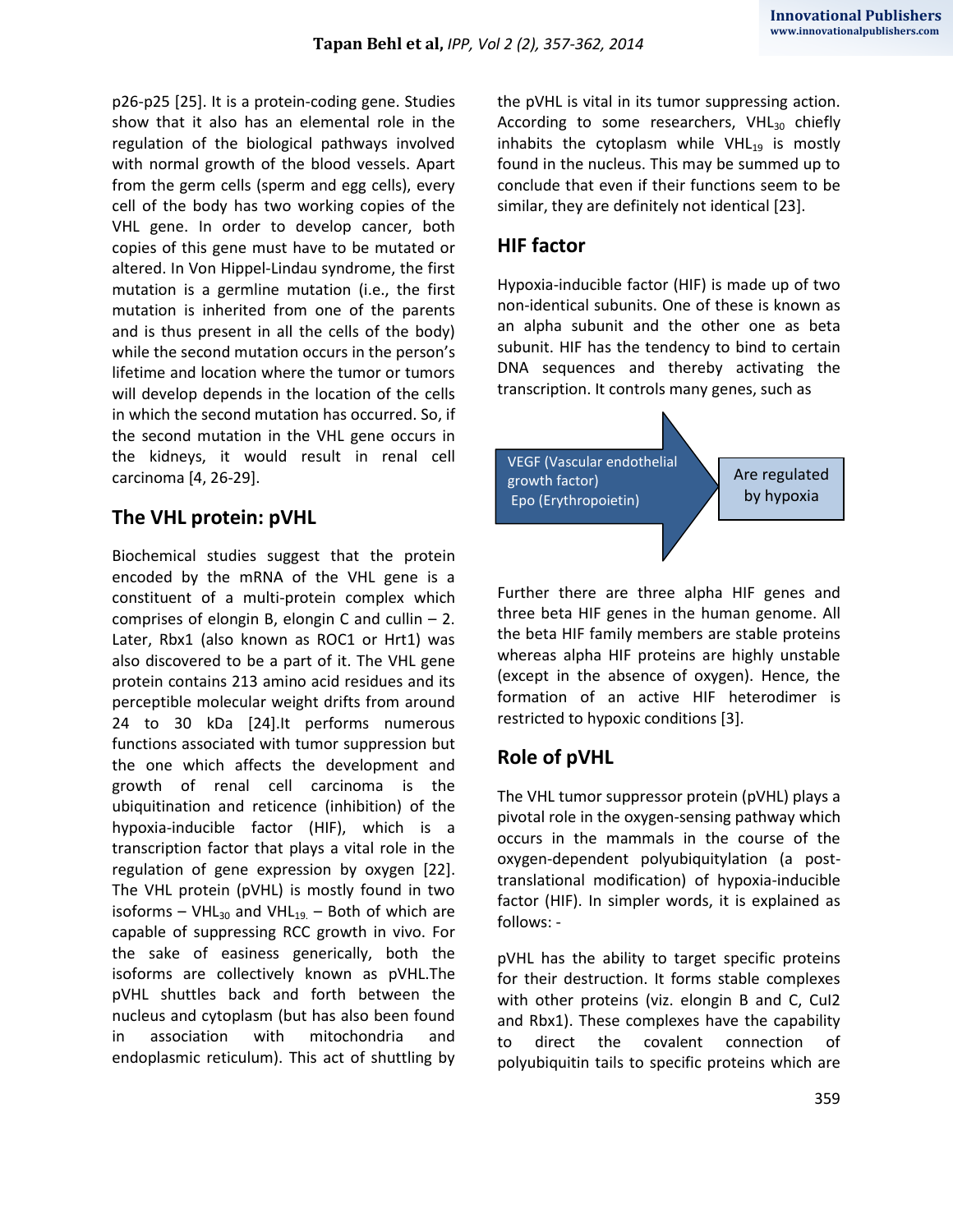p26-p25 [25]. It is a protein-coding gene. Studies show that it also has an elemental role in the regulation of the biological pathways involved with normal growth of the blood vessels. Apart from the germ cells (sperm and egg cells), every cell of the body has two working copies of the VHL gene. In order to develop cancer, both copies of this gene must have to be mutated or altered. In Von Hippel-Lindau syndrome, the first mutation is a germline mutation (i.e., the first mutation is inherited from one of the parents and is thus present in all the cells of the body) while the second mutation occurs in the person's lifetime and location where the tumor or tumors will develop depends in the location of the cells in which the second mutation has occurred. So, if the second mutation in the VHL gene occurs in the kidneys, it would result in renal cell carcinoma [4, 26-29].

## **The VHL protein: pVHL**

Biochemical studies suggest that the protein encoded by the mRNA of the VHL gene is a constituent of a multi-protein complex which comprises of elongin B, elongin C and cullin  $-2$ . Later, Rbx1 (also known as ROC1 or Hrt1) was also discovered to be a part of it. The VHL gene protein contains 213 amino acid residues and its perceptible molecular weight drifts from around 24 to 30 kDa [24].It performs numerous functions associated with tumor suppression but the one which affects the development and growth of renal cell carcinoma is the ubiquitination and reticence (inhibition) of the hypoxia-inducible factor (HIF), which is a transcription factor that plays a vital role in the regulation of gene expression by oxygen [22]. The VHL protein (pVHL) is mostly found in two isoforms – VHL<sub>30</sub> and VHL<sub>19.</sub> – Both of which are capable of suppressing RCC growth in vivo. For the sake of easiness generically, both the isoforms are collectively known as pVHL.The pVHL shuttles back and forth between the nucleus and cytoplasm (but has also been found in association with mitochondria and endoplasmic reticulum). This act of shuttling by the pVHL is vital in its tumor suppressing action. According to some researchers,  $VHL_{30}$  chiefly inhabits the cytoplasm while  $VHL_{19}$  is mostly found in the nucleus. This may be summed up to conclude that even if their functions seem to be similar, they are definitely not identical [23].

# **HIF factor**

Hypoxia-inducible factor (HIF) is made up of two non-identical subunits. One of these is known as an alpha subunit and the other one as beta subunit. HIF has the tendency to bind to certain DNA sequences and thereby activating the transcription. It controls many genes, such as



Further there are three alpha HIF genes and three beta HIF genes in the human genome. All the beta HIF family members are stable proteins whereas alpha HIF proteins are highly unstable (except in the absence of oxygen). Hence, the formation of an active HIF heterodimer is restricted to hypoxic conditions [3].

# **Role of pVHL**

The VHL tumor suppressor protein (pVHL) plays a pivotal role in the oxygen-sensing pathway which occurs in the mammals in the course of the oxygen-dependent polyubiquitylation (a posttranslational modification) of hypoxia-inducible factor (HIF). In simpler words, it is explained as follows: -

pVHL has the ability to target specific proteins for their destruction. It forms stable complexes with other proteins (viz. elongin B and C, CuI2 and Rbx1). These complexes have the capability to direct the covalent connection of polyubiquitin tails to specific proteins which are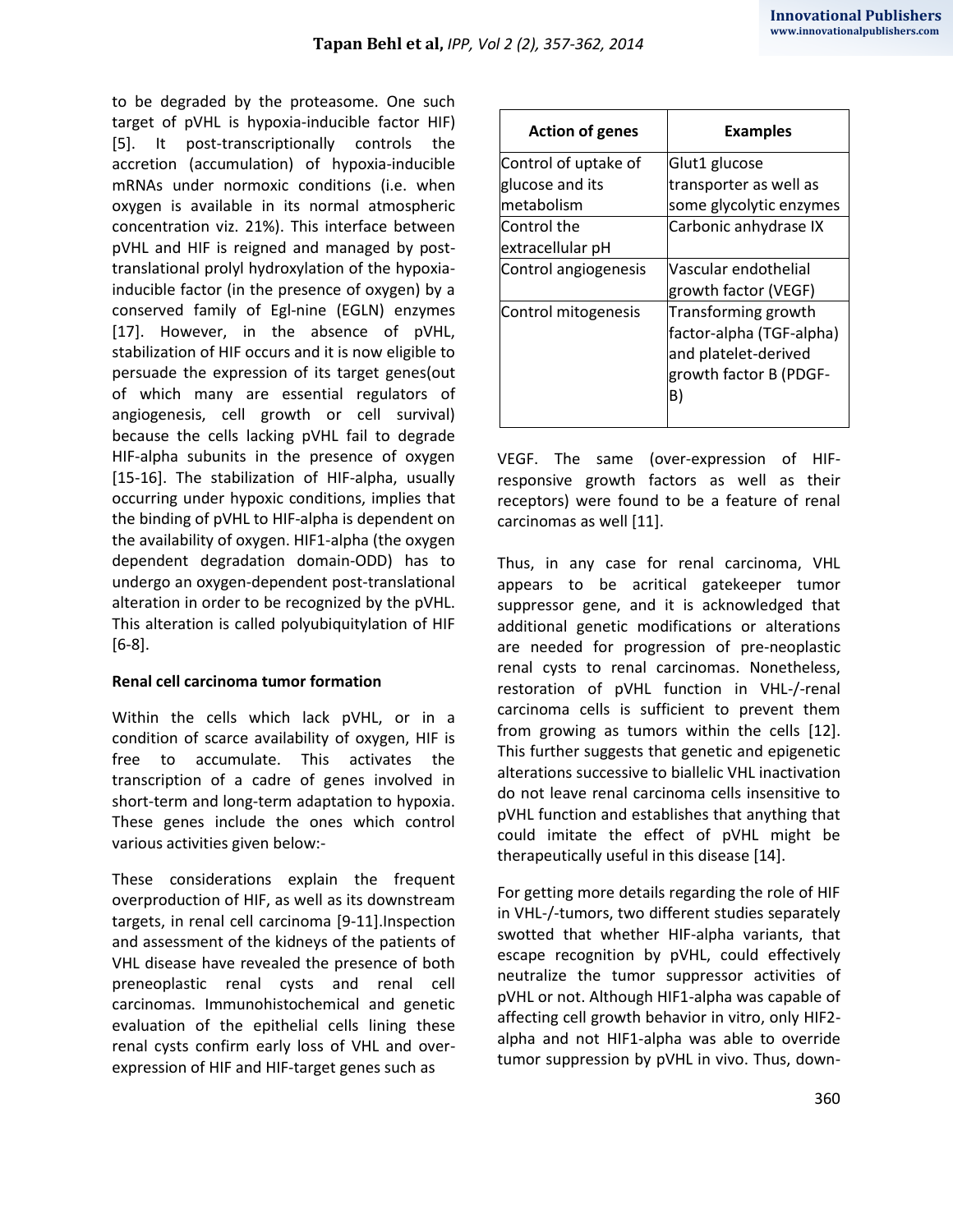to be degraded by the proteasome. One such target of pVHL is hypoxia-inducible factor HIF) [5]. It post-transcriptionally controls the accretion (accumulation) of hypoxia-inducible mRNAs under normoxic conditions (i.e. when oxygen is available in its normal atmospheric concentration viz. 21%). This interface between pVHL and HIF is reigned and managed by posttranslational prolyl hydroxylation of the hypoxiainducible factor (in the presence of oxygen) by a conserved family of Egl-nine (EGLN) enzymes [17]. However, in the absence of pVHL, stabilization of HIF occurs and it is now eligible to persuade the expression of its target genes(out of which many are essential regulators of angiogenesis, cell growth or cell survival) because the cells lacking pVHL fail to degrade HIF-alpha subunits in the presence of oxygen [15-16]. The stabilization of HIF-alpha, usually occurring under hypoxic conditions, implies that the binding of pVHL to HIF-alpha is dependent on the availability of oxygen. HIF1-alpha (the oxygen dependent degradation domain-ODD) has to undergo an oxygen-dependent post-translational alteration in order to be recognized by the pVHL. This alteration is called polyubiquitylation of HIF [6-8].

#### **Renal cell carcinoma tumor formation**

Within the cells which lack pVHL, or in a condition of scarce availability of oxygen, HIF is free to accumulate. This activates the transcription of a cadre of genes involved in short-term and long-term adaptation to hypoxia. These genes include the ones which control various activities given below:-

These considerations explain the frequent overproduction of HIF, as well as its downstream targets, in renal cell carcinoma [9-11].Inspection and assessment of the kidneys of the patients of VHL disease have revealed the presence of both preneoplastic renal cysts and renal cell carcinomas. Immunohistochemical and genetic evaluation of the epithelial cells lining these renal cysts confirm early loss of VHL and overexpression of HIF and HIF-target genes such as

| <b>Action of genes</b> | <b>Examples</b>                                                         |
|------------------------|-------------------------------------------------------------------------|
| Control of uptake of   | Glut1 glucose                                                           |
| glucose and its        | transporter as well as                                                  |
| metabolism             | some glycolytic enzymes                                                 |
| Control the            | Carbonic anhydrase IX                                                   |
| extracellular pH       |                                                                         |
| Control angiogenesis   | Vascular endothelial                                                    |
|                        | growth factor (VEGF)                                                    |
| Control mitogenesis    | Transforming growth<br>factor-alpha (TGF-alpha)<br>and platelet-derived |
|                        | growth factor B (PDGF-<br>B)                                            |

VEGF. The same (over-expression of HIFresponsive growth factors as well as their receptors) were found to be a feature of renal carcinomas as well [11].

Thus, in any case for renal carcinoma, VHL appears to be acritical gatekeeper tumor suppressor gene, and it is acknowledged that additional genetic modifications or alterations are needed for progression of pre-neoplastic renal cysts to renal carcinomas. Nonetheless, restoration of pVHL function in VHL-/-renal carcinoma cells is sufficient to prevent them from growing as tumors within the cells [12]. This further suggests that genetic and epigenetic alterations successive to biallelic VHL inactivation do not leave renal carcinoma cells insensitive to pVHL function and establishes that anything that could imitate the effect of pVHL might be therapeutically useful in this disease [14].

For getting more details regarding the role of HIF in VHL-/-tumors, two different studies separately swotted that whether HIF-alpha variants, that escape recognition by pVHL, could effectively neutralize the tumor suppressor activities of pVHL or not. Although HIF1-alpha was capable of affecting cell growth behavior in vitro, only HIF2 alpha and not HIF1-alpha was able to override tumor suppression by pVHL in vivo. Thus, down-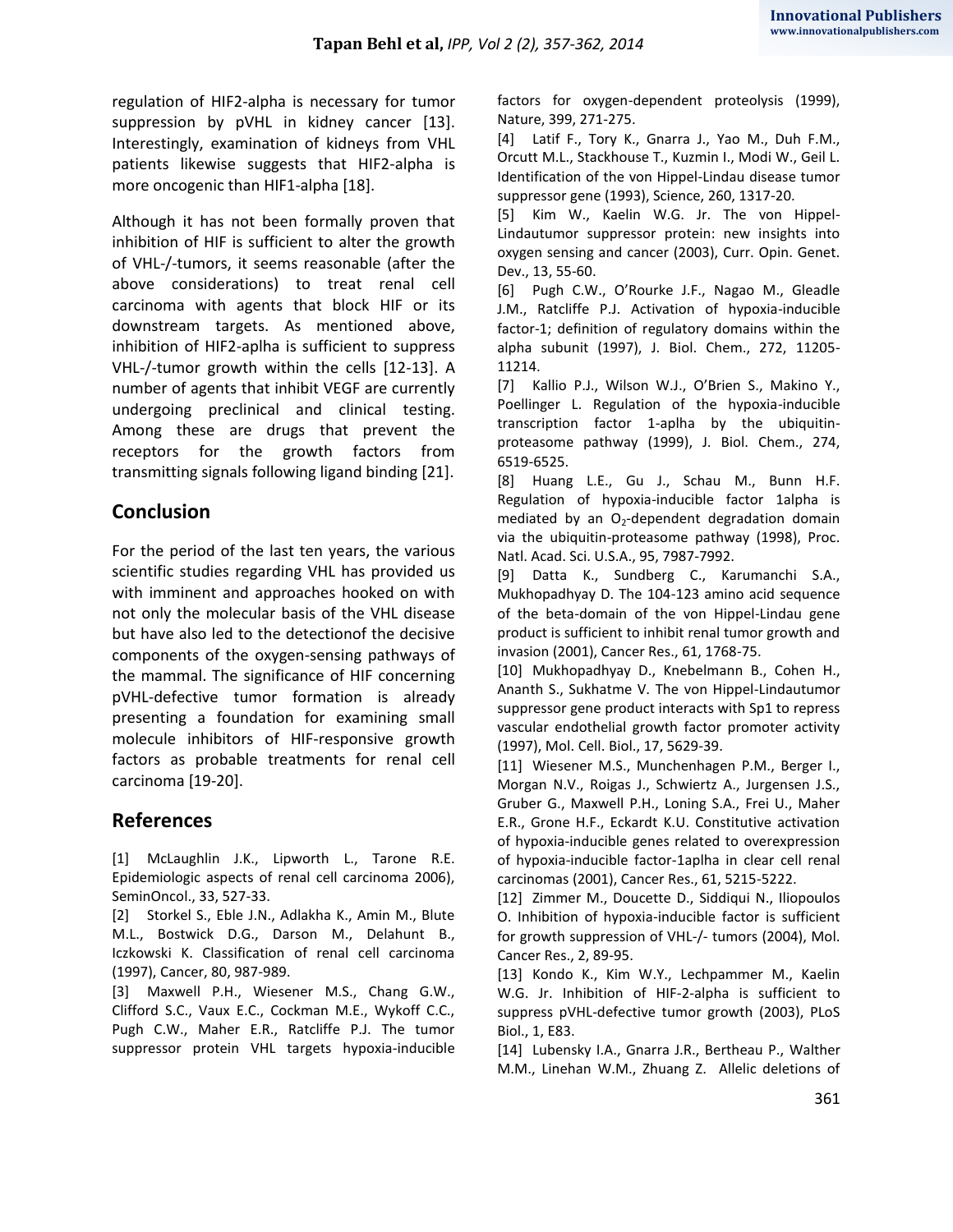regulation of HIF2-alpha is necessary for tumor suppression by pVHL in kidney cancer [13]. Interestingly, examination of kidneys from VHL patients likewise suggests that HIF2-alpha is more oncogenic than HIF1-alpha [18].

Although it has not been formally proven that inhibition of HIF is sufficient to alter the growth of VHL-/-tumors, it seems reasonable (after the above considerations) to treat renal cell carcinoma with agents that block HIF or its downstream targets. As mentioned above, inhibition of HIF2-aplha is sufficient to suppress VHL-/-tumor growth within the cells [12-13]. A number of agents that inhibit VEGF are currently undergoing preclinical and clinical testing. Among these are drugs that prevent the receptors for the growth factors from transmitting signals following ligand binding [21].

## **Conclusion**

For the period of the last ten years, the various scientific studies regarding VHL has provided us with imminent and approaches hooked on with not only the molecular basis of the VHL disease but have also led to the detectionof the decisive components of the oxygen-sensing pathways of the mammal. The significance of HIF concerning pVHL-defective tumor formation is already presenting a foundation for examining small molecule inhibitors of HIF-responsive growth factors as probable treatments for renal cell carcinoma [19-20].

### **References**

[1] McLaughlin J.K., Lipworth L., Tarone R.E. Epidemiologic aspects of renal cell carcinoma 2006), SeminOncol., 33, 527-33.

[2] Storkel S., Eble J.N., Adlakha K., Amin M., Blute M.L., Bostwick D.G., Darson M., Delahunt B., Iczkowski K. Classification of renal cell carcinoma (1997), Cancer, 80, 987-989.

[3] Maxwell P.H., Wiesener M.S., Chang G.W., Clifford S.C., Vaux E.C., Cockman M.E., Wykoff C.C., Pugh C.W., Maher E.R., Ratcliffe P.J. The tumor suppressor protein VHL targets hypoxia-inducible factors for oxygen-dependent proteolysis (1999), Nature, 399, 271-275.

[4] Latif F., Tory K., Gnarra J., Yao M., Duh F.M., Orcutt M.L., Stackhouse T., Kuzmin I., Modi W., Geil L. Identification of the von Hippel-Lindau disease tumor suppressor gene (1993), Science, 260, 1317-20.

[5] Kim W., Kaelin W.G. Jr. The von Hippel-Lindautumor suppressor protein: new insights into oxygen sensing and cancer (2003), Curr. Opin. Genet. Dev., 13, 55-60.

[6] Pugh C.W., O'Rourke J.F., Nagao M., Gleadle J.M., Ratcliffe P.J. Activation of hypoxia-inducible factor-1; definition of regulatory domains within the alpha subunit (1997), J. Biol. Chem., 272, 11205- 11214.

[7] Kallio P.J., Wilson W.J., O'Brien S., Makino Y., Poellinger L. Regulation of the hypoxia-inducible transcription factor 1-aplha by the ubiquitinproteasome pathway (1999), J. Biol. Chem., 274, 6519-6525.

[8] Huang L.E., Gu J., Schau M., Bunn H.F. Regulation of hypoxia-inducible factor 1alpha is mediated by an  $O_2$ -dependent degradation domain via the ubiquitin-proteasome pathway (1998), Proc. Natl. Acad. Sci. U.S.A., 95, 7987-7992.

[9] Datta K., Sundberg C., Karumanchi S.A., Mukhopadhyay D. The 104-123 amino acid sequence of the beta-domain of the von Hippel-Lindau gene product is sufficient to inhibit renal tumor growth and invasion (2001), Cancer Res., 61, 1768-75.

[10] Mukhopadhyay D., Knebelmann B., Cohen H., Ananth S., Sukhatme V. The von Hippel-Lindautumor suppressor gene product interacts with Sp1 to repress vascular endothelial growth factor promoter activity (1997), Mol. Cell. Biol., 17, 5629-39.

[11] Wiesener M.S., Munchenhagen P.M., Berger I., Morgan N.V., Roigas J., Schwiertz A., Jurgensen J.S., Gruber G., Maxwell P.H., Loning S.A., Frei U., Maher E.R., Grone H.F., Eckardt K.U. Constitutive activation of hypoxia-inducible genes related to overexpression of hypoxia-inducible factor-1aplha in clear cell renal carcinomas (2001), Cancer Res., 61, 5215-5222.

[12] Zimmer M., Doucette D., Siddiqui N., Iliopoulos O. Inhibition of hypoxia-inducible factor is sufficient for growth suppression of VHL-/- tumors (2004), Mol. Cancer Res., 2, 89-95.

[13] Kondo K., Kim W.Y., Lechpammer M., Kaelin W.G. Jr. Inhibition of HIF-2-alpha is sufficient to suppress pVHL-defective tumor growth (2003), PLoS Biol., 1, E83.

[14] Lubensky I.A., Gnarra J.R., Bertheau P., Walther M.M., Linehan W.M., Zhuang Z. Allelic deletions of